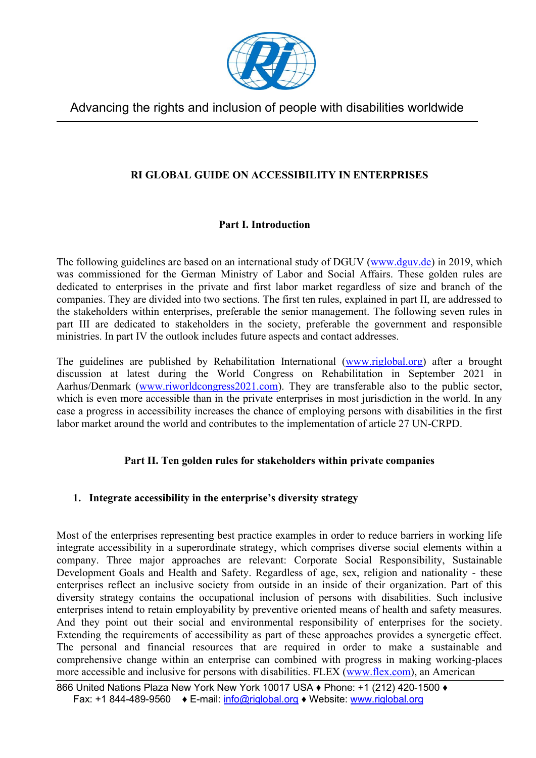

## **RI GLOBAL GUIDE ON ACCESSIBILITY IN ENTERPRISES**

## **Part I. Introduction**

 was commissioned for the German Ministry of Labor and Social Affairs. These golden rules are dedicated to enterprises in the private and first labor market regardless of size and branch of the companies. They are divided into two sections. The first ten rules, explained in part II, are addressed to the stakeholders within enterprises, preferable the senior management. The following seven rules in part III are dedicated to stakeholders in the society, preferable the government and responsible The following guidelines are based on an international study of DGUV [\(www.dguv.de\)](http://www.dguv.de/) in 2019, which ministries. In part IV the outlook includes future aspects and contact addresses.

The guidelines are published by Rehabilitation International [\(www.riglobal.org\)](http://www.riglobal.org/) after a brought discussion at latest during the World Congress on Rehabilitation in September 2021 in which is even more accessible than in the private enterprises in most jurisdiction in the world. In any case a progress in accessibility increases the chance of employing persons with disabilities in the first Aarhus/Denmark [\(www.riworldcongress2021.com\)](http://www.riworldcongress2021.com/). They are transferable also to the public sector, labor market around the world and contributes to the implementation of article 27 UN-CRPD.

## **Part II. Ten golden rules for stakeholders within private companies**

## **1. Integrate accessibility in the enterprise's diversity strategy**

 integrate accessibility in a superordinate strategy, which comprises diverse social elements within a company. Three major approaches are relevant: Corporate Social Responsibility, Sustainable Development Goals and Health and Safety. Regardless of age, sex, religion and nationality - these enterprises intend to retain employability by preventive oriented means of health and safety measures. And they point out their social and environmental responsibility of enterprises for the society. Extending the requirements of accessibility as part of these approaches provides a synergetic effect. The personal and financial resources that are required in order to make a sustainable and comprehensive change within an enterprise can combined with progress in making working-places Most of the enterprises representing best practice examples in order to reduce barriers in working life enterprises reflect an inclusive society from outside in an inside of their organization. Part of this diversity strategy contains the occupational inclusion of persons with disabilities. Such inclusive more accessible and inclusive for persons with disabilities. FLEX [\(www.flex.com\)](http://www.flex.com/), an American

 866 United Nations Plaza New York New York 10017 USA ♦ Phone: +1 (212) 420-1500 ♦ Fax: +1 844-489-9560 ♦ E-mail: [info@riglobal.org](mailto:info@riglobal.org) ♦ Website: [www.riglobal.org](http://www.riglobal.org/)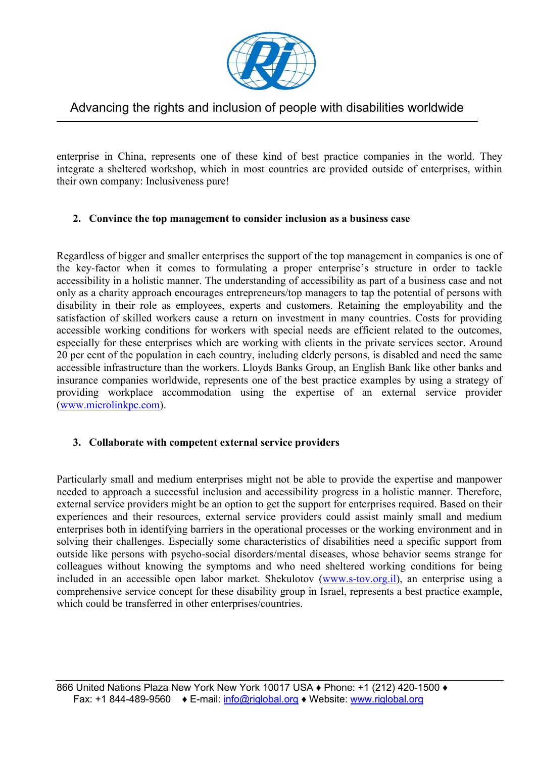

 enterprise in China, represents one of these kind of best practice companies in the world. They integrate a sheltered workshop, which in most countries are provided outside of enterprises, within their own company: Inclusiveness pure!

### **2. Convince the top management to consider inclusion as a business case**

 Regardless of bigger and smaller enterprises the support of the top management in companies is one of the key-factor when it comes to formulating a proper enterprise's structure in order to tackle accessibility in a holistic manner. The understanding of accessibility as part of a business case and not disability in their role as employees, experts and customers. Retaining the employability and the satisfaction of skilled workers cause a return on investment in many countries. Costs for providing accessible working conditions for workers with special needs are efficient related to the outcomes, especially for these enterprises which are working with clients in the private services sector. Around accessible infrastructure than the workers. Lloyds Banks Group, an English Bank like other banks and insurance companies worldwide, represents one of the best practice examples by using a strategy of only as a charity approach encourages entrepreneurs/top managers to tap the potential of persons with 20 per cent of the population in each country, including elderly persons, is disabled and need the same providing workplace accommodation using the expertise of an external service provider [\(www.microlinkpc.com\)](http://www.microlinkpc.com/).

#### **3. Collaborate with competent external service providers**

 Particularly small and medium enterprises might not be able to provide the expertise and manpower needed to approach a successful inclusion and accessibility progress in a holistic manner. Therefore, solving their challenges. Especially some characteristics of disabilities need a specific support from outside like persons with psycho-social disorders/mental diseases, whose behavior seems strange for colleagues without knowing the symptoms and who need sheltered working conditions for being included in an accessible open labor market. Shekulotov [\(www.s-tov.org.il\)](http://www.s-tov.org.il/), an enterprise using a comprehensive service concept for these disability group in Israel, represents a best practice example, external service providers might be an option to get the support for enterprises required. Based on their experiences and their resources, external service providers could assist mainly small and medium enterprises both in identifying barriers in the operational processes or the working environment and in which could be transferred in other enterprises/countries.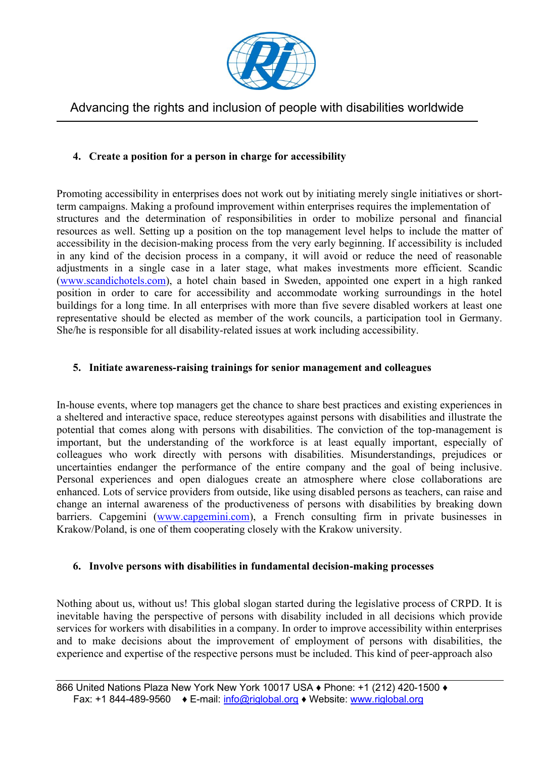

### **4. Create a position for a person in charge for accessibility**

 structures and the determination of responsibilities in order to mobilize personal and financial resources as well. Setting up a position on the top management level helps to include the matter of in any kind of the decision process in a company, it will avoid or reduce the need of reasonable adjustments in a single case in a later stage, what makes investments more efficient. Scandic [\(www.scandichotels.com\)](http://www.scandichotels.com/), a hotel chain based in Sweden, appointed one expert in a high ranked position in order to care for accessibility and accommodate working surroundings in the hotel buildings for a long time. In all enterprises with more than five severe disabled workers at least one representative should be elected as member of the work councils, a participation tool in Germany. Promoting accessibility in enterprises does not work out by initiating merely single initiatives or shortterm campaigns. Making a profound improvement within enterprises requires the implementation of accessibility in the decision-making process from the very early beginning. If accessibility is included She/he is responsible for all disability-related issues at work including accessibility.

#### **5. Initiate awareness-raising trainings for senior management and colleagues**

 In-house events, where top managers get the chance to share best practices and existing experiences in uncertainties endanger the performance of the entire company and the goal of being inclusive. Personal experiences and open dialogues create an atmosphere where close collaborations are a sheltered and interactive space, reduce stereotypes against persons with disabilities and illustrate the potential that comes along with persons with disabilities. The conviction of the top-management is important, but the understanding of the workforce is at least equally important, especially of colleagues who work directly with persons with disabilities. Misunderstandings, prejudices or enhanced. Lots of service providers from outside, like using disabled persons as teachers, can raise and change an internal awareness of the productiveness of persons with disabilities by breaking down barriers. Capgemini [\(www.capgemini.com\)](http://www.capgemini.com/), a French consulting firm in private businesses in Krakow/Poland, is one of them cooperating closely with the Krakow university.

#### **6. Involve persons with disabilities in fundamental decision-making processes**

 Nothing about us, without us! This global slogan started during the legislative process of CRPD. It is inevitable having the perspective of persons with disability included in all decisions which provide services for workers with disabilities in a company. In order to improve accessibility within enterprises and to make decisions about the improvement of employment of persons with disabilities, the experience and expertise of the respective persons must be included. This kind of peer-approach also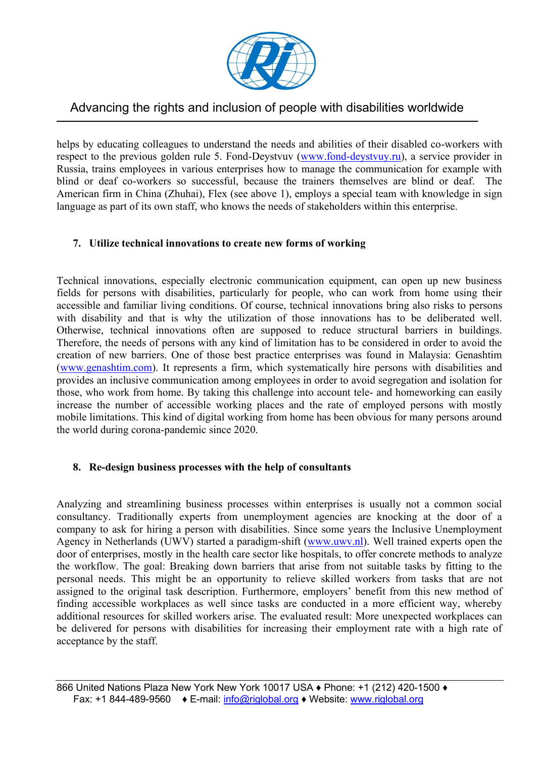

respect to the previous golden rule 5. Fond-Deystvuv [\(www.fond-deystvuy.ru\)](http://www.fond-deystvuy.ru/), a service provider in Russia, trains employees in various enterprises how to manage the communication for example with The helps by educating colleagues to understand the needs and abilities of their disabled co-workers with blind or deaf co-workers so successful, because the trainers themselves are blind or deaf. American firm in China (Zhuhai), Flex (see above 1), employs a special team with knowledge in sign language as part of its own staff, who knows the needs of stakeholders within this enterprise.

### **7. Utilize technical innovations to create new forms of working**

 fields for persons with disabilities, particularly for people, who can work from home using their Therefore, the needs of persons with any kind of limitation has to be considered in order to avoid the creation of new barriers. One of those best practice enterprises was found in Malaysia: Genashtim Technical innovations, especially electronic communication equipment, can open up new business accessible and familiar living conditions. Of course, technical innovations bring also risks to persons with disability and that is why the utilization of those innovations has to be deliberated well. Otherwise, technical innovations often are supposed to reduce structural barriers in buildings. [\(www.genashtim.com\)](http://www.genashtim.com/). It represents a firm, which systematically hire persons with disabilities and provides an inclusive communication among employees in order to avoid segregation and isolation for those, who work from home. By taking this challenge into account tele- and homeworking can easily increase the number of accessible working places and the rate of employed persons with mostly mobile limitations. This kind of digital working from home has been obvious for many persons around the world during corona-pandemic since 2020.

#### **8. Re-design business processes with the help of consultants**

 consultancy. Traditionally experts from unemployment agencies are knocking at the door of a company to ask for hiring a person with disabilities. Since some years the Inclusive Unemployment Agency in Netherlands (UWV) started a paradigm-shift [\(www.uwv.nl\)](http://www.uwv.nl/). Well trained experts open the door of enterprises, mostly in the health care sector like hospitals, to offer concrete methods to analyze the workflow. The goal: Breaking down barriers that arise from not suitable tasks by fitting to the assigned to the original task description. Furthermore, employers' benefit from this new method of finding accessible workplaces as well since tasks are conducted in a more efficient way, whereby additional resources for skilled workers arise. The evaluated result: More unexpected workplaces can be delivered for persons with disabilities for increasing their employment rate with a high rate of Analyzing and streamlining business processes within enterprises is usually not a common social personal needs. This might be an opportunity to relieve skilled workers from tasks that are not acceptance by the staff.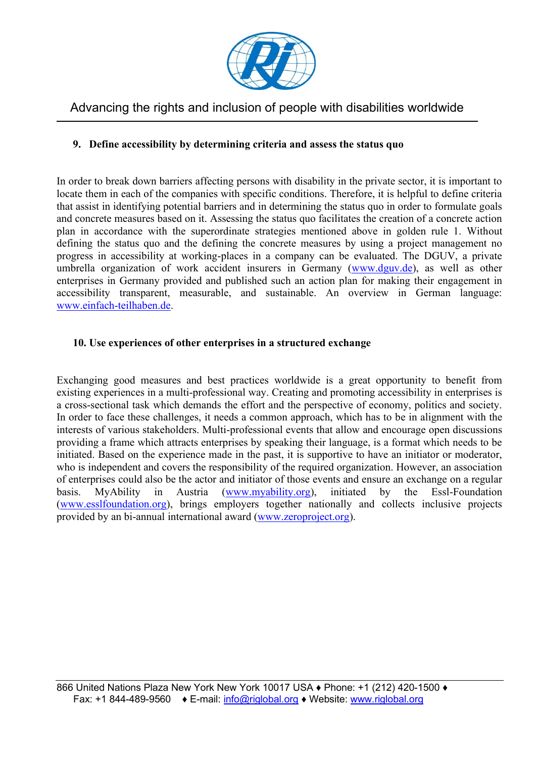

### **9. Define accessibility by determining criteria and assess the status quo**

 locate them in each of the companies with specific conditions. Therefore, it is helpful to define criteria and concrete measures based on it. Assessing the status quo facilitates the creation of a concrete action defining the status quo and the defining the concrete measures by using a project management no progress in accessibility at working-places in a company can be evaluated. The DGUV, a private umbrella organization of work accident insurers in Germany [\(www.dguv.de\)](http://www.dguv.de/), as well as other In order to break down barriers affecting persons with disability in the private sector, it is important to that assist in identifying potential barriers and in determining the status quo in order to formulate goals plan in accordance with the superordinate strategies mentioned above in golden rule 1. Without enterprises in Germany provided and published such an action plan for making their engagement in accessibility transparent, measurable, and sustainable. An overview in German language: [www.einfach-teilhaben.de.](http://www.einfach-teilhaben.de/)

#### **10. Use experiences of other enterprises in a structured exchange**

 In order to face these challenges, it needs a common approach, which has to be in alignment with the initiated. Based on the experience made in the past, it is supportive to have an initiator or moderator, of enterprises could also be the actor and initiator of those events and ensure an exchange on a regular  $in$ Exchanging good measures and best practices worldwide is a great opportunity to benefit from existing experiences in a multi-professional way. Creating and promoting accessibility in enterprises is a cross-sectional task which demands the effort and the perspective of economy, politics and society. interests of various stakeholders. Multi-professional events that allow and encourage open discussions providing a frame which attracts enterprises by speaking their language, is a format which needs to be who is independent and covers the responsibility of the required organization. However, an association basis. MyAbility in Austria [\(www.myability.org\)](http://www.myability.org/), initiated by the Essl-Foundation [\(www.esslfoundation.org\)](http://www.esslfoundation.org/), brings employers together nationally and collects inclusive projects provided by an bi-annual international award [\(www.zeroproject.org\)](http://www.zeroproject.org/).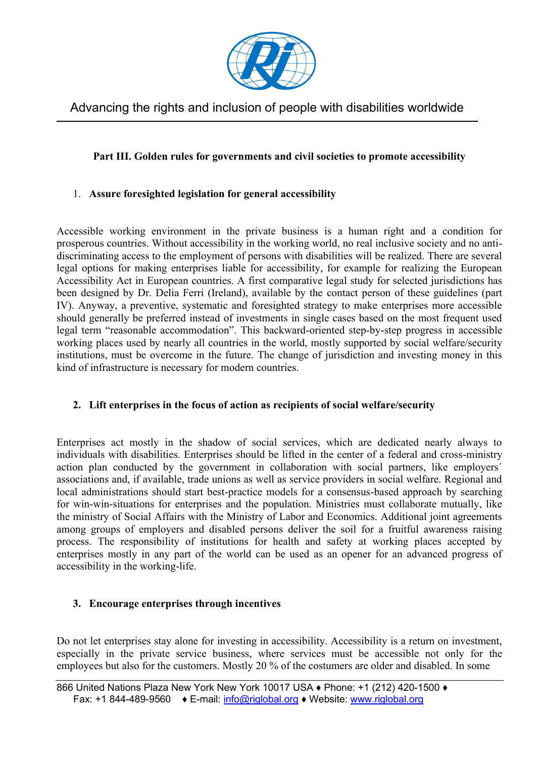

## **Part III. Golden rules for governments and civil societies to promote accessibility**

## 1. **Assure foresighted legislation for general accessibility**

 discriminating access to the employment of persons with disabilities will be realized. There are several legal options for making enterprises liable for accessibility, for example for realizing the European Accessibility Act in European countries. A first comparative legal study for selected jurisdictions has IV). Anyway, a preventive, systematic and foresighted strategy to make enterprises more accessible working places used by nearly all countries in the world, mostly supported by social welfare/security institutions, must be overcome in the future. The change of jurisdiction and investing money in this Accessible working environment in the private business is a human right and a condition for prosperous countries. Without accessibility in the working world, no real inclusive society and no antibeen designed by Dr. Delia Ferri (Ireland), available by the contact person of these guidelines (part should generally be preferred instead of investments in single cases based on the most frequent used legal term "reasonable accommodation". This backward-oriented step-by-step progress in accessible kind of infrastructure is necessary for modern countries.

## **2. Lift enterprises in the focus of action as recipients of social welfare/security**

 Enterprises act mostly in the shadow of social services, which are dedicated nearly always to individuals with disabilities. Enterprises should be lifted in the center of a federal and cross-ministry action plan conducted by the government in collaboration with social partners, like employers´ associations and, if available, trade unions as well as service providers in social welfare. Regional and local administrations should start best-practice models for a consensus-based approach by searching among groups of employers and disabled persons deliver the soil for a fruitful awareness raising process. The responsibility of institutions for health and safety at working places accepted by enterprises mostly in any part of the world can be used as an opener for an advanced progress of for win-win-situations for enterprises and the population. Ministries must collaborate mutually, like the ministry of Social Affairs with the Ministry of Labor and Economics. Additional joint agreements accessibility in the working-life.

#### **3. Encourage enterprises through incentives**

 especially in the private service business, where services must be accessible not only for the Do not let enterprises stay alone for investing in accessibility. Accessibility is a return on investment, employees but also for the customers. Mostly 20 % of the costumers are older and disabled. In some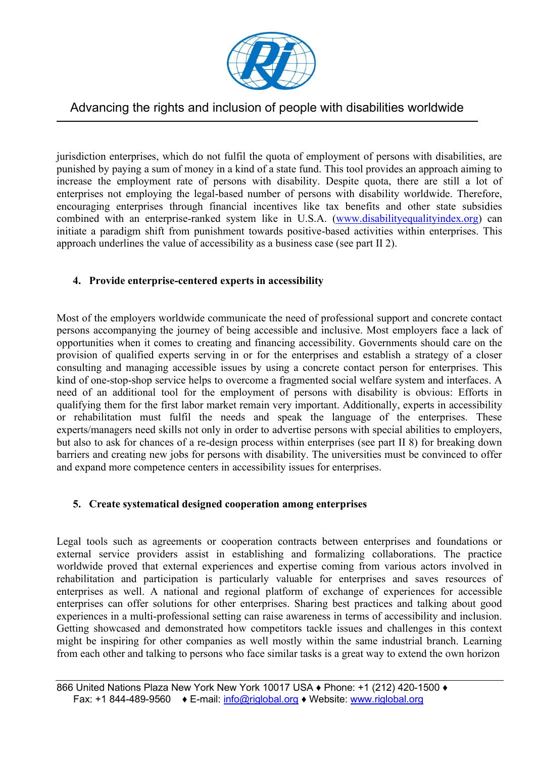

 punished by paying a sum of money in a kind of a state fund. This tool provides an approach aiming to increase the employment rate of persons with disability. Despite quota, there are still a lot of encouraging enterprises through financial incentives like tax benefits and other state subsidies initiate a paradigm shift from punishment towards positive-based activities within enterprises. This jurisdiction enterprises, which do not fulfil the quota of employment of persons with disabilities, are enterprises not employing the legal-based number of persons with disability worldwide. Therefore, combined with an enterprise-ranked system like in U.S.A. [\(www.disabilityequalityindex.org\)](http://www.disabilityequalityindex.org/) can approach underlines the value of accessibility as a business case (see part II 2).

## **4. Provide enterprise-centered experts in accessibility**

 persons accompanying the journey of being accessible and inclusive. Most employers face a lack of opportunities when it comes to creating and financing accessibility. Governments should care on the kind of one-stop-shop service helps to overcome a fragmented social welfare system and interfaces. A need of an additional tool for the employment of persons with disability is obvious: Efforts in or rehabilitation must fulfil the needs and speak the language of the enterprises. These but also to ask for chances of a re-design process within enterprises (see part II 8) for breaking down barriers and creating new jobs for persons with disability. The universities must be convinced to offer Most of the employers worldwide communicate the need of professional support and concrete contact provision of qualified experts serving in or for the enterprises and establish a strategy of a closer consulting and managing accessible issues by using a concrete contact person for enterprises. This qualifying them for the first labor market remain very important. Additionally, experts in accessibility experts/managers need skills not only in order to advertise persons with special abilities to employers, and expand more competence centers in accessibility issues for enterprises.

#### **5. Create systematical designed cooperation among enterprises**

 external service providers assist in establishing and formalizing collaborations. The practice rehabilitation and participation is particularly valuable for enterprises and saves resources of enterprises as well. A national and regional platform of exchange of experiences for accessible enterprises can offer solutions for other enterprises. Sharing best practices and talking about good might be inspiring for other companies as well mostly within the same industrial branch. Learning Legal tools such as agreements or cooperation contracts between enterprises and foundations or worldwide proved that external experiences and expertise coming from various actors involved in experiences in a multi-professional setting can raise awareness in terms of accessibility and inclusion. Getting showcased and demonstrated how competitors tackle issues and challenges in this context from each other and talking to persons who face similar tasks is a great way to extend the own horizon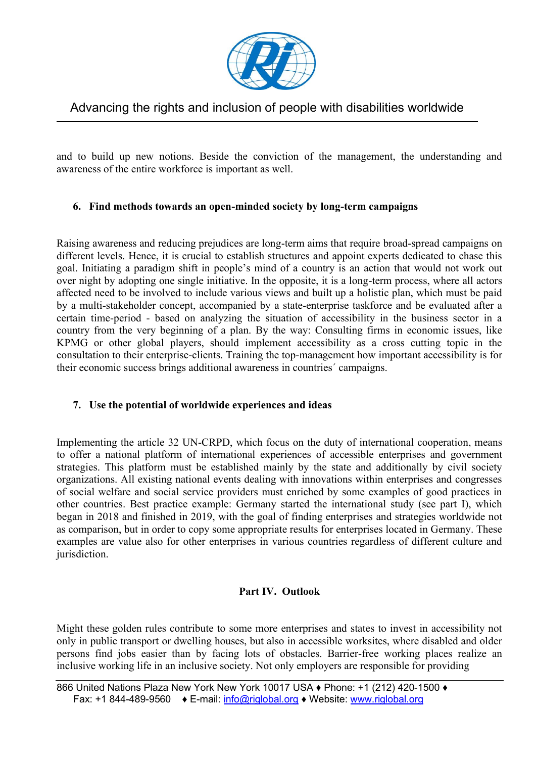

 and to build up new notions. Beside the conviction of the management, the understanding and awareness of the entire workforce is important as well.

### **6. Find methods towards an open-minded society by long-term campaigns**

 different levels. Hence, it is crucial to establish structures and appoint experts dedicated to chase this goal. Initiating a paradigm shift in people's mind of a country is an action that would not work out over night by adopting one single initiative. In the opposite, it is a long-term process, where all actors affected need to be involved to include various views and built up a holistic plan, which must be paid by a multi-stakeholder concept, accompanied by a state-enterprise taskforce and be evaluated after a certain time-period - based on analyzing the situation of accessibility in the business sector in a country from the very beginning of a plan. By the way: Consulting firms in economic issues, like KPMG or other global players, should implement accessibility as a cross cutting topic in the Raising awareness and reducing prejudices are long-term aims that require broad-spread campaigns on consultation to their enterprise-clients. Training the top-management how important accessibility is for their economic success brings additional awareness in countries´ campaigns.

#### **7. Use the potential of worldwide experiences and ideas**

 strategies. This platform must be established mainly by the state and additionally by civil society other countries. Best practice example: Germany started the international study (see part I), which examples are value also for other enterprises in various countries regardless of different culture and Implementing the article 32 UN-CRPD, which focus on the duty of international cooperation, means to offer a national platform of international experiences of accessible enterprises and government organizations. All existing national events dealing with innovations within enterprises and congresses of social welfare and social service providers must enriched by some examples of good practices in began in 2018 and finished in 2019, with the goal of finding enterprises and strategies worldwide not as comparison, but in order to copy some appropriate results for enterprises located in Germany. These jurisdiction.

#### **Part IV. Outlook**

 only in public transport or dwelling houses, but also in accessible worksites, where disabled and older Might these golden rules contribute to some more enterprises and states to invest in accessibility not persons find jobs easier than by facing lots of obstacles. Barrier-free working places realize an inclusive working life in an inclusive society. Not only employers are responsible for providing